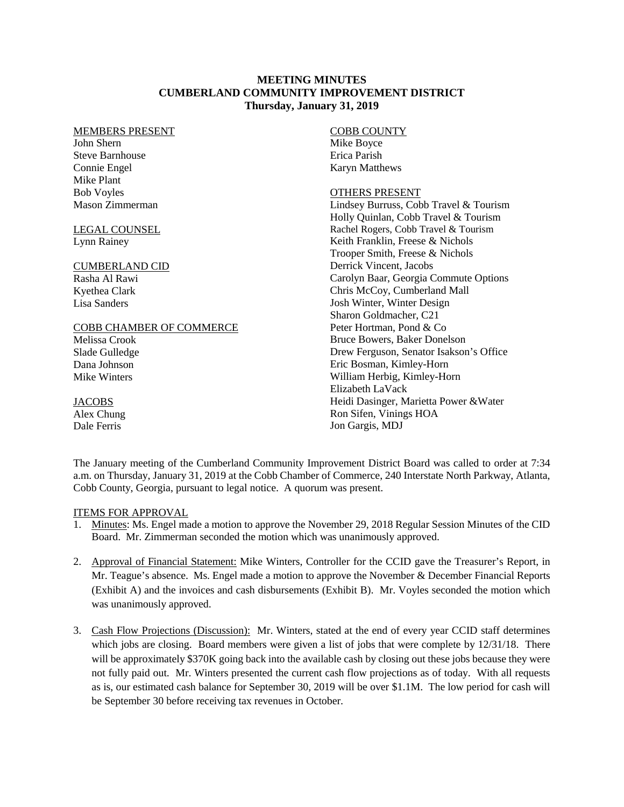### **MEETING MINUTES CUMBERLAND COMMUNITY IMPROVEMENT DISTRICT Thursday, January 31, 2019**

#### MEMBERS PRESENT

John Shern Steve Barnhouse Connie Engel Mike Plant Bob Voyles Mason Zimmerman

### LEGAL COUNSEL Lynn Rainey

### CUMBERLAND CID

Rasha Al Rawi Kyethea Clark Lisa Sanders

### COBB CHAMBER OF COMMERCE

Melissa Crook Slade Gulledge Dana Johnson Mike Winters

## **JACOBS**

Alex Chung Dale Ferris

#### COBB COUNTY Mike Boyce Erica Parish Karyn Matthews

### OTHERS PRESENT

Lindsey Burruss, Cobb Travel & Tourism Holly Quinlan, Cobb Travel & Tourism Rachel Rogers, Cobb Travel & Tourism Keith Franklin, Freese & Nichols Trooper Smith, Freese & Nichols Derrick Vincent, Jacobs Carolyn Baar, Georgia Commute Options Chris McCoy, Cumberland Mall Josh Winter, Winter Design Sharon Goldmacher, C21 Peter Hortman, Pond & Co Bruce Bowers, Baker Donelson Drew Ferguson, Senator Isakson's Office Eric Bosman, Kimley-Horn William Herbig, Kimley-Horn Elizabeth LaVack Heidi Dasinger, Marietta Power &Water Ron Sifen, Vinings HOA Jon Gargis, MDJ

The January meeting of the Cumberland Community Improvement District Board was called to order at 7:34 a.m. on Thursday, January 31, 2019 at the Cobb Chamber of Commerce, 240 Interstate North Parkway, Atlanta, Cobb County, Georgia, pursuant to legal notice. A quorum was present.

## ITEMS FOR APPROVAL

- 1. Minutes: Ms. Engel made a motion to approve the November 29, 2018 Regular Session Minutes of the CID Board. Mr. Zimmerman seconded the motion which was unanimously approved.
- 2. Approval of Financial Statement: Mike Winters, Controller for the CCID gave the Treasurer's Report, in Mr. Teague's absence. Ms. Engel made a motion to approve the November & December Financial Reports (Exhibit A) and the invoices and cash disbursements (Exhibit B). Mr. Voyles seconded the motion which was unanimously approved.
- 3. Cash Flow Projections (Discussion): Mr. Winters, stated at the end of every year CCID staff determines which jobs are closing. Board members were given a list of jobs that were complete by 12/31/18. There will be approximately \$370K going back into the available cash by closing out these jobs because they were not fully paid out. Mr. Winters presented the current cash flow projections as of today. With all requests as is, our estimated cash balance for September 30, 2019 will be over \$1.1M. The low period for cash will be September 30 before receiving tax revenues in October.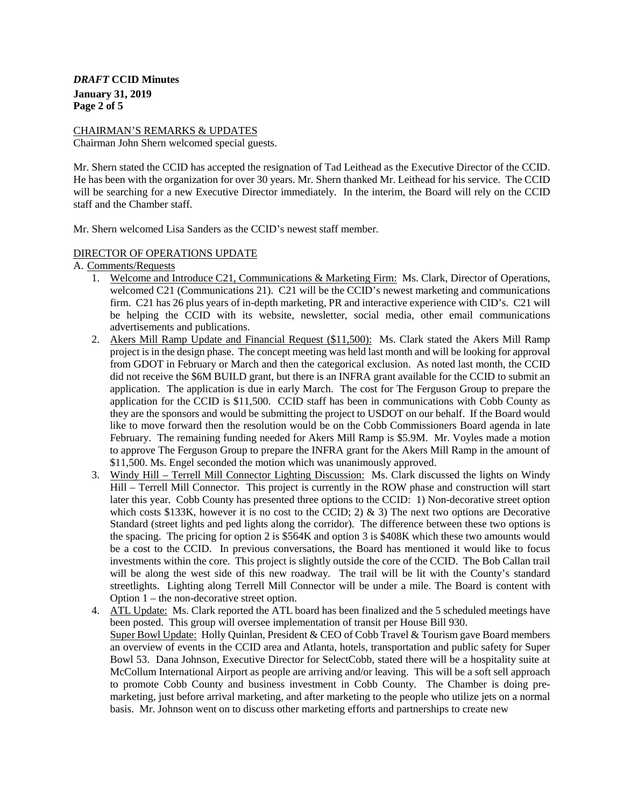*DRAFT* **CCID Minutes January 31, 2019 Page 2 of 5** 

#### CHAIRMAN'S REMARKS & UPDATES

Chairman John Shern welcomed special guests.

Mr. Shern stated the CCID has accepted the resignation of Tad Leithead as the Executive Director of the CCID. He has been with the organization for over 30 years. Mr. Shern thanked Mr. Leithead for his service. The CCID will be searching for a new Executive Director immediately. In the interim, the Board will rely on the CCID staff and the Chamber staff.

Mr. Shern welcomed Lisa Sanders as the CCID's newest staff member.

### DIRECTOR OF OPERATIONS UPDATE

A. Comments/Requests

- 1. Welcome and Introduce C21, Communications & Marketing Firm: Ms. Clark, Director of Operations, welcomed C21 (Communications 21). C21 will be the CCID's newest marketing and communications firm. C21 has 26 plus years of in-depth marketing, PR and interactive experience with CID's. C21 will be helping the CCID with its website, newsletter, social media, other email communications advertisements and publications.
- 2. Akers Mill Ramp Update and Financial Request (\$11,500): Ms. Clark stated the Akers Mill Ramp project is in the design phase. The concept meeting was held last month and will be looking for approval from GDOT in February or March and then the categorical exclusion. As noted last month, the CCID did not receive the \$6M BUILD grant, but there is an INFRA grant available for the CCID to submit an application. The application is due in early March. The cost for The Ferguson Group to prepare the application for the CCID is \$11,500. CCID staff has been in communications with Cobb County as they are the sponsors and would be submitting the project to USDOT on our behalf. If the Board would like to move forward then the resolution would be on the Cobb Commissioners Board agenda in late February. The remaining funding needed for Akers Mill Ramp is \$5.9M. Mr. Voyles made a motion to approve The Ferguson Group to prepare the INFRA grant for the Akers Mill Ramp in the amount of \$11,500. Ms. Engel seconded the motion which was unanimously approved.
- 3. Windy Hill Terrell Mill Connector Lighting Discussion: Ms. Clark discussed the lights on Windy Hill – Terrell Mill Connector. This project is currently in the ROW phase and construction will start later this year. Cobb County has presented three options to the CCID: 1) Non-decorative street option which costs \$133K, however it is no cost to the CCID; 2)  $\&$  3) The next two options are Decorative Standard (street lights and ped lights along the corridor). The difference between these two options is the spacing. The pricing for option 2 is \$564K and option 3 is \$408K which these two amounts would be a cost to the CCID. In previous conversations, the Board has mentioned it would like to focus investments within the core. This project is slightly outside the core of the CCID. The Bob Callan trail will be along the west side of this new roadway. The trail will be lit with the County's standard streetlights. Lighting along Terrell Mill Connector will be under a mile. The Board is content with Option 1 – the non-decorative street option.
- 4. ATL Update: Ms. Clark reported the ATL board has been finalized and the 5 scheduled meetings have been posted. This group will oversee implementation of transit per House Bill 930. Super Bowl Update: Holly Quinlan, President & CEO of Cobb Travel & Tourism gave Board members an overview of events in the CCID area and Atlanta, hotels, transportation and public safety for Super Bowl 53. Dana Johnson, Executive Director for SelectCobb, stated there will be a hospitality suite at McCollum International Airport as people are arriving and/or leaving. This will be a soft sell approach to promote Cobb County and business investment in Cobb County. The Chamber is doing premarketing, just before arrival marketing, and after marketing to the people who utilize jets on a normal basis. Mr. Johnson went on to discuss other marketing efforts and partnerships to create new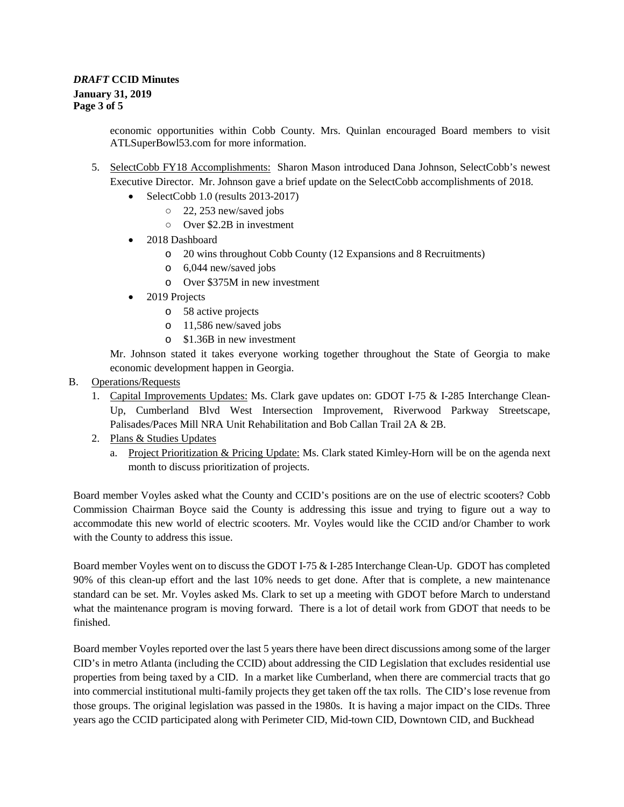economic opportunities within Cobb County. Mrs. Quinlan encouraged Board members to visit ATLSuperBowl53.com for more information.

- 5. SelectCobb FY18 Accomplishments: Sharon Mason introduced Dana Johnson, SelectCobb's newest Executive Director. Mr. Johnson gave a brief update on the SelectCobb accomplishments of 2018.
	- SelectCobb 1.0 (results 2013-2017)
		- 22, 253 new/saved jobs
		- Over \$2.2B in investment
	- 2018 Dashboard
		- o 20 wins throughout Cobb County (12 Expansions and 8 Recruitments)
		- o 6,044 new/saved jobs
			- o Over \$375M in new investment
	- 2019 Projects
		- o 58 active projects
		- o 11,586 new/saved jobs
		- o \$1.36B in new investment

Mr. Johnson stated it takes everyone working together throughout the State of Georgia to make economic development happen in Georgia.

- B. Operations/Requests
	- 1. Capital Improvements Updates: Ms. Clark gave updates on: GDOT I-75 & I-285 Interchange Clean-Up, Cumberland Blvd West Intersection Improvement, Riverwood Parkway Streetscape, Palisades/Paces Mill NRA Unit Rehabilitation and Bob Callan Trail 2A & 2B.
	- 2. Plans & Studies Updates
		- a. Project Prioritization & Pricing Update: Ms. Clark stated Kimley-Horn will be on the agenda next month to discuss prioritization of projects.

Board member Voyles asked what the County and CCID's positions are on the use of electric scooters? Cobb Commission Chairman Boyce said the County is addressing this issue and trying to figure out a way to accommodate this new world of electric scooters. Mr. Voyles would like the CCID and/or Chamber to work with the County to address this issue.

Board member Voyles went on to discuss the GDOT I-75 & I-285 Interchange Clean-Up. GDOT has completed 90% of this clean-up effort and the last 10% needs to get done. After that is complete, a new maintenance standard can be set. Mr. Voyles asked Ms. Clark to set up a meeting with GDOT before March to understand what the maintenance program is moving forward. There is a lot of detail work from GDOT that needs to be finished.

Board member Voyles reported over the last 5 years there have been direct discussions among some of the larger CID's in metro Atlanta (including the CCID) about addressing the CID Legislation that excludes residential use properties from being taxed by a CID. In a market like Cumberland, when there are commercial tracts that go into commercial institutional multi-family projects they get taken off the tax rolls. The CID's lose revenue from those groups. The original legislation was passed in the 1980s. It is having a major impact on the CIDs. Three years ago the CCID participated along with Perimeter CID, Mid-town CID, Downtown CID, and Buckhead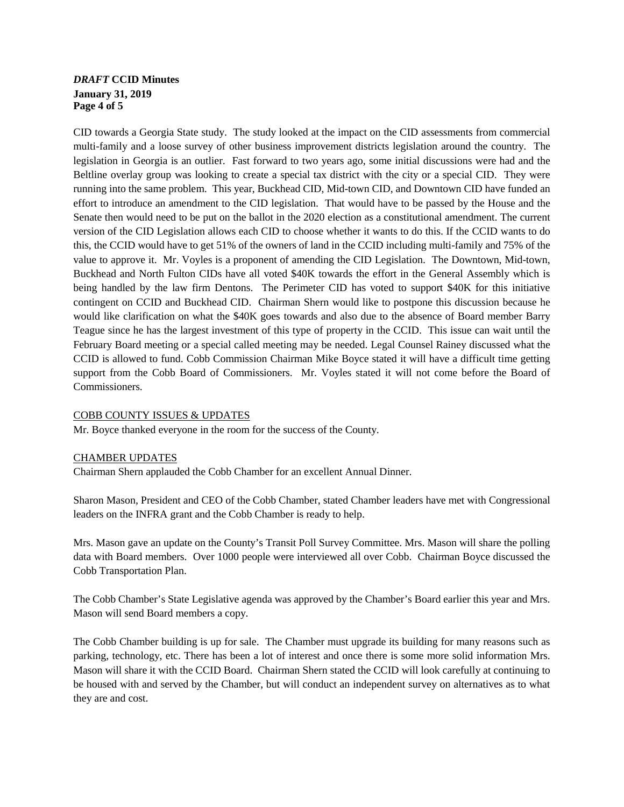# *DRAFT* **CCID Minutes January 31, 2019 Page 4 of 5**

CID towards a Georgia State study. The study looked at the impact on the CID assessments from commercial multi-family and a loose survey of other business improvement districts legislation around the country. The legislation in Georgia is an outlier. Fast forward to two years ago, some initial discussions were had and the Beltline overlay group was looking to create a special tax district with the city or a special CID. They were running into the same problem. This year, Buckhead CID, Mid-town CID, and Downtown CID have funded an effort to introduce an amendment to the CID legislation. That would have to be passed by the House and the Senate then would need to be put on the ballot in the 2020 election as a constitutional amendment. The current version of the CID Legislation allows each CID to choose whether it wants to do this. If the CCID wants to do this, the CCID would have to get 51% of the owners of land in the CCID including multi-family and 75% of the value to approve it. Mr. Voyles is a proponent of amending the CID Legislation. The Downtown, Mid-town, Buckhead and North Fulton CIDs have all voted \$40K towards the effort in the General Assembly which is being handled by the law firm Dentons. The Perimeter CID has voted to support \$40K for this initiative contingent on CCID and Buckhead CID. Chairman Shern would like to postpone this discussion because he would like clarification on what the \$40K goes towards and also due to the absence of Board member Barry Teague since he has the largest investment of this type of property in the CCID. This issue can wait until the February Board meeting or a special called meeting may be needed. Legal Counsel Rainey discussed what the CCID is allowed to fund. Cobb Commission Chairman Mike Boyce stated it will have a difficult time getting support from the Cobb Board of Commissioners. Mr. Voyles stated it will not come before the Board of Commissioners.

## COBB COUNTY ISSUES & UPDATES

Mr. Boyce thanked everyone in the room for the success of the County.

### CHAMBER UPDATES

Chairman Shern applauded the Cobb Chamber for an excellent Annual Dinner.

Sharon Mason, President and CEO of the Cobb Chamber, stated Chamber leaders have met with Congressional leaders on the INFRA grant and the Cobb Chamber is ready to help.

Mrs. Mason gave an update on the County's Transit Poll Survey Committee. Mrs. Mason will share the polling data with Board members. Over 1000 people were interviewed all over Cobb. Chairman Boyce discussed the Cobb Transportation Plan.

The Cobb Chamber's State Legislative agenda was approved by the Chamber's Board earlier this year and Mrs. Mason will send Board members a copy.

The Cobb Chamber building is up for sale. The Chamber must upgrade its building for many reasons such as parking, technology, etc. There has been a lot of interest and once there is some more solid information Mrs. Mason will share it with the CCID Board. Chairman Shern stated the CCID will look carefully at continuing to be housed with and served by the Chamber, but will conduct an independent survey on alternatives as to what they are and cost.